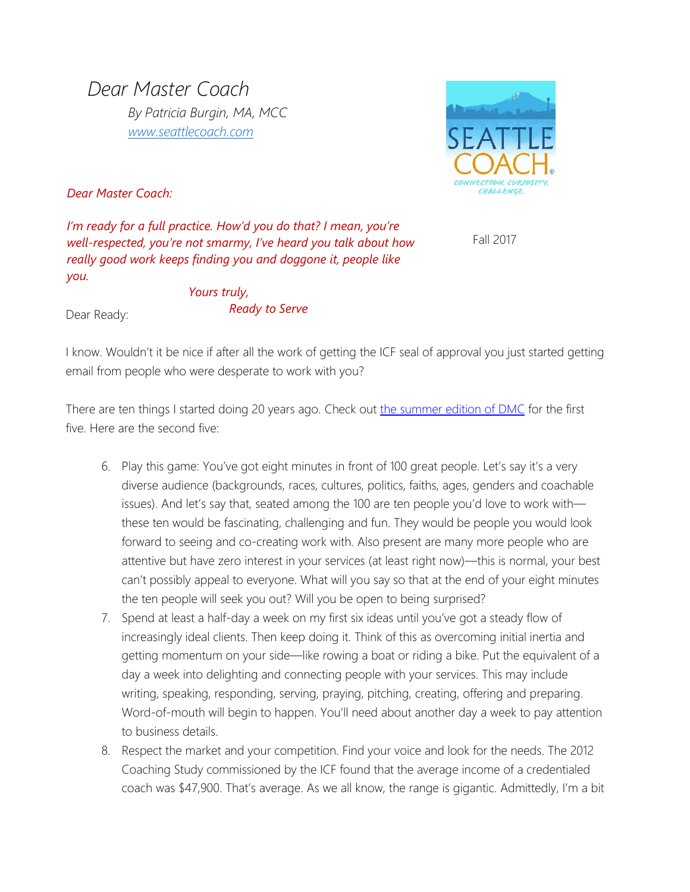*Dear Master Coach By Patricia Burgin, MA, MCC [www.seattlecoach.com](http://www.seattlecoach.com/)*



*Dear Master Coach:*

*I'm ready for a full practice. How'd you do that? I mean, you're well-respected, you're not smarmy, I've heard you talk about how really good work keeps finding you and doggone it, people like you.*

Fall 2017

Dear Ready:

*Yours truly, Ready to Serve*

I know. Wouldn't it be nice if after all the work of getting the ICF seal of approval you just started getting email from people who were desperate to work with you?

There are ten things I started doing 20 years ago. Check out the [summer edition of](https://www.seattlecoach.com/dear-master-coach-blog/ready-to-serve) DMC for the first five. Here are the second five:

- 6. Play this game: You've got eight minutes in front of 100 great people. Let's say it's a very diverse audience (backgrounds, races, cultures, politics, faiths, ages, genders and coachable issues). And let's say that, seated among the 100 are ten people you'd love to work with these ten would be fascinating, challenging and fun. They would be people you would look forward to seeing and co-creating work with. Also present are many more people who are attentive but have zero interest in your services (at least right now)—this is normal, your best can't possibly appeal to everyone. What will you say so that at the end of your eight minutes the ten people will seek you out? Will you be open to being surprised?
- 7. Spend at least a half-day a week on my first six ideas until you've got a steady flow of increasingly ideal clients. Then keep doing it. Think of this as overcoming initial inertia and getting momentum on your side—like rowing a boat or riding a bike. Put the equivalent of a day a week into delighting and connecting people with your services. This may include writing, speaking, responding, serving, praying, pitching, creating, offering and preparing. Word-of-mouth will begin to happen. You'll need about another day a week to pay attention to business details.
- 8. Respect the market and your competition. Find your voice and look for the needs. The 2012 Coaching Study commissioned by the ICF found that the average income of a credentialed coach was \$47,900. That's average. As we all know, the range is gigantic. Admittedly, I'm a bit